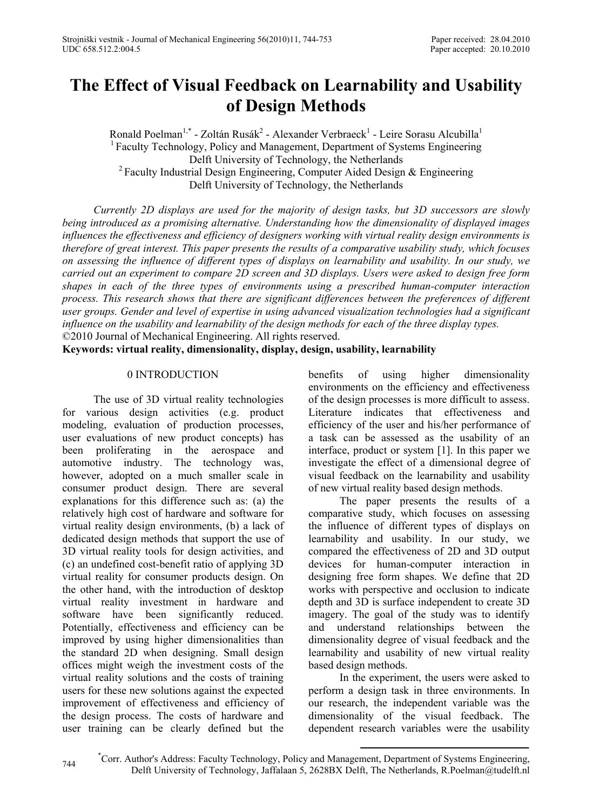# **The Effect of Visual Feedback on Learnability and Usability of Design Methods**

Ronald Poelman<sup>1,\*</sup> - Zoltán Rusák<sup>2</sup> - Alexander Verbraeck<sup>1</sup> - Leire Sorasu Alcubilla<sup>1</sup> <sup>1</sup> Faculty Technology, Policy and Management, Department of Systems Engineering Delft University of Technology, the Netherlands<sup>2</sup> Faculty Industrial Design Engineering, Computer Aided Design & Engineering Delft University of Technology, the Netherlands

*Currently 2D displays are used for the majority of design tasks, but 3D successors are slowly being introduced as a promising alternative. Understanding how the dimensionality of displayed images influences the effectiveness and efficiency of designers working with virtual reality design environments is therefore of great interest. This paper presents the results of a comparative usability study, which focuses on assessing the influence of different types of displays on learnability and usability. In our study, we carried out an experiment to compare 2D screen and 3D displays. Users were asked to design free form shapes in each of the three types of environments using a prescribed human-computer interaction process. This research shows that there are significant differences between the preferences of different user groups. Gender and level of expertise in using advanced visualization technologies had a significant influence on the usability and learnability of the design methods for each of the three display types.*  ©2010 Journal of Mechanical Engineering. All rights reserved.

**Keywords: virtual reality, dimensionality, display, design, usability, learnability** 

#### 0 INTRODUCTION

The use of 3D virtual reality technologies for various design activities (e.g. product modeling, evaluation of production processes, user evaluations of new product concepts) has been proliferating in the aerospace and automotive industry. The technology was, however, adopted on a much smaller scale in consumer product design. There are several explanations for this difference such as: (a) the relatively high cost of hardware and software for virtual reality design environments, (b) a lack of dedicated design methods that support the use of 3D virtual reality tools for design activities, and (c) an undefined cost-benefit ratio of applying 3D virtual reality for consumer products design. On the other hand, with the introduction of desktop virtual reality investment in hardware and software have been significantly reduced. Potentially, effectiveness and efficiency can be improved by using higher dimensionalities than the standard 2D when designing. Small design offices might weigh the investment costs of the virtual reality solutions and the costs of training users for these new solutions against the expected improvement of effectiveness and efficiency of the design process. The costs of hardware and user training can be clearly defined but the

benefits of using higher dimensionality environments on the efficiency and effectiveness of the design processes is more difficult to assess. Literature indicates that effectiveness and efficiency of the user and his/her performance of a task can be assessed as the usability of an interface, product or system [1]. In this paper we investigate the effect of a dimensional degree of visual feedback on the learnability and usability of new virtual reality based design methods.

The paper presents the results of a comparative study, which focuses on assessing the influence of different types of displays on learnability and usability. In our study, we compared the effectiveness of 2D and 3D output devices for human-computer interaction in designing free form shapes. We define that 2D works with perspective and occlusion to indicate depth and 3D is surface independent to create 3D imagery. The goal of the study was to identify and understand relationships between the dimensionality degree of visual feedback and the learnability and usability of new virtual reality based design methods.

In the experiment, the users were asked to perform a design task in three environments. In our research, the independent variable was the dimensionality of the visual feedback. The dependent research variables were the usability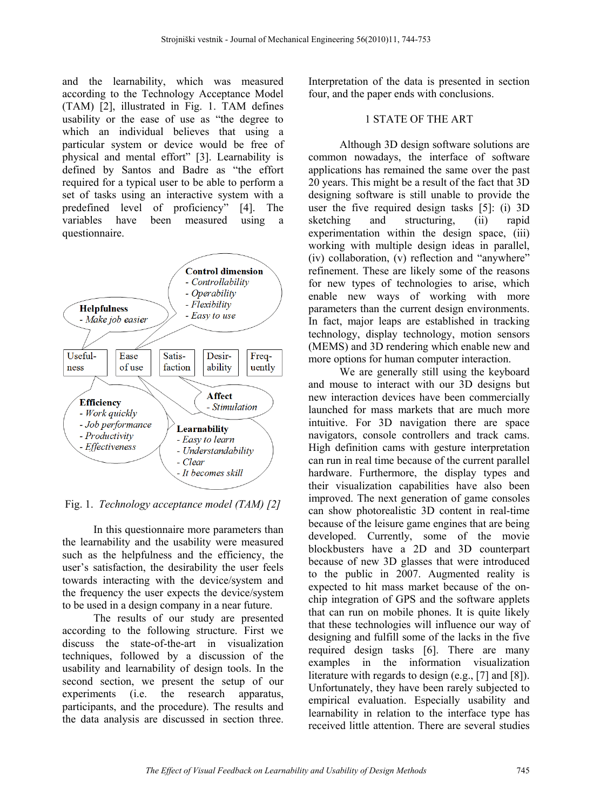and the learnability, which was measured according to the Technology Acceptance Model (TAM) [2], illustrated in Fig. 1. TAM defines usability or the ease of use as "the degree to which an individual believes that using a particular system or device would be free of physical and mental effort" [3]. Learnability is defined by Santos and Badre as "the effort required for a typical user to be able to perform a set of tasks using an interactive system with a predefined level of proficiency" [4]. The variables have been measured using a questionnaire.



Fig. 1. *Technology acceptance model (TAM) [2]*

In this questionnaire more parameters than the learnability and the usability were measured such as the helpfulness and the efficiency, the user's satisfaction, the desirability the user feels towards interacting with the device/system and the frequency the user expects the device/system to be used in a design company in a near future.

The results of our study are presented according to the following structure. First we discuss the state-of-the-art in visualization techniques, followed by a discussion of the usability and learnability of design tools. In the second section, we present the setup of our experiments (i.e. the research apparatus, participants, and the procedure). The results and the data analysis are discussed in section three.

Interpretation of the data is presented in section four, and the paper ends with conclusions.

#### 1 STATE OF THE ART

Although 3D design software solutions are common nowadays, the interface of software applications has remained the same over the past 20 years. This might be a result of the fact that 3D designing software is still unable to provide the user the five required design tasks [5]: (i) 3D sketching and structuring, (ii) rapid experimentation within the design space, (iii) working with multiple design ideas in parallel, (iv) collaboration, (v) reflection and "anywhere" refinement. These are likely some of the reasons for new types of technologies to arise, which enable new ways of working with more parameters than the current design environments. In fact, major leaps are established in tracking technology, display technology, motion sensors (MEMS) and 3D rendering which enable new and more options for human computer interaction.

We are generally still using the keyboard and mouse to interact with our 3D designs but new interaction devices have been commercially launched for mass markets that are much more intuitive. For 3D navigation there are space navigators, console controllers and track cams. High definition cams with gesture interpretation can run in real time because of the current parallel hardware. Furthermore, the display types and their visualization capabilities have also been improved. The next generation of game consoles can show photorealistic 3D content in real-time because of the leisure game engines that are being developed. Currently, some of the movie blockbusters have a 2D and 3D counterpart because of new 3D glasses that were introduced to the public in 2007. Augmented reality is expected to hit mass market because of the onchip integration of GPS and the software applets that can run on mobile phones. It is quite likely that these technologies will influence our way of designing and fulfill some of the lacks in the five required design tasks [6]. There are many examples in the information visualization literature with regards to design (e.g., [7] and [8]). Unfortunately, they have been rarely subjected to empirical evaluation. Especially usability and learnability in relation to the interface type has received little attention. There are several studies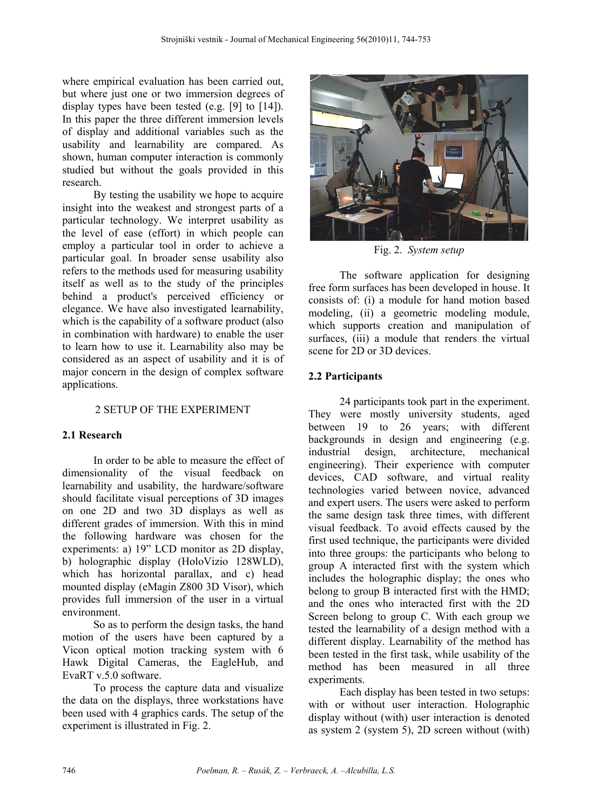where empirical evaluation has been carried out, but where just one or two immersion degrees of display types have been tested (e.g. [9] to [14]). In this paper the three different immersion levels of display and additional variables such as the usability and learnability are compared. As shown, human computer interaction is commonly studied but without the goals provided in this research.

By testing the usability we hope to acquire insight into the weakest and strongest parts of a particular technology. We interpret usability as the level of ease (effort) in which people can employ a particular tool in order to achieve a particular goal. In broader sense usability also refers to the methods used for measuring usability itself as well as to the study of the principles behind a product's perceived efficiency or elegance. We have also investigated learnability, which is the capability of a software product (also in combination with hardware) to enable the user to learn how to use it. Learnability also may be considered as an aspect of usability and it is of major concern in the design of complex software applications.

# 2 SETUP OF THE EXPERIMENT

## **2.1 Research**

In order to be able to measure the effect of dimensionality of the visual feedback on learnability and usability, the hardware/software should facilitate visual perceptions of 3D images on one 2D and two 3D displays as well as different grades of immersion. With this in mind the following hardware was chosen for the experiments: a) 19" LCD monitor as 2D display, b) holographic display (HoloVizio 128WLD), which has horizontal parallax, and c) head mounted display (eMagin Z800 3D Visor), which provides full immersion of the user in a virtual environment.

So as to perform the design tasks, the hand motion of the users have been captured by a Vicon optical motion tracking system with 6 Hawk Digital Cameras, the EagleHub, and EvaRT v.5.0 software.

To process the capture data and visualize the data on the displays, three workstations have been used with 4 graphics cards. The setup of the experiment is illustrated in Fig. 2.



Fig. 2. *System setup*

The software application for designing free form surfaces has been developed in house. It consists of: (i) a module for hand motion based modeling, (ii) a geometric modeling module, which supports creation and manipulation of surfaces. (iii) a module that renders the virtual scene for 2D or 3D devices.

## **2.2 Participants**

24 participants took part in the experiment. They were mostly university students, aged between 19 to 26 years; with different backgrounds in design and engineering (e.g. industrial design, architecture, mechanical engineering). Their experience with computer devices, CAD software, and virtual reality technologies varied between novice, advanced and expert users. The users were asked to perform the same design task three times, with different visual feedback. To avoid effects caused by the first used technique, the participants were divided into three groups: the participants who belong to group A interacted first with the system which includes the holographic display; the ones who belong to group B interacted first with the HMD: and the ones who interacted first with the 2D Screen belong to group C. With each group we tested the learnability of a design method with a different display. Learnability of the method has been tested in the first task, while usability of the method has been measured in all three experiments.

Each display has been tested in two setups: with or without user interaction. Holographic display without (with) user interaction is denoted as system 2 (system 5), 2D screen without (with)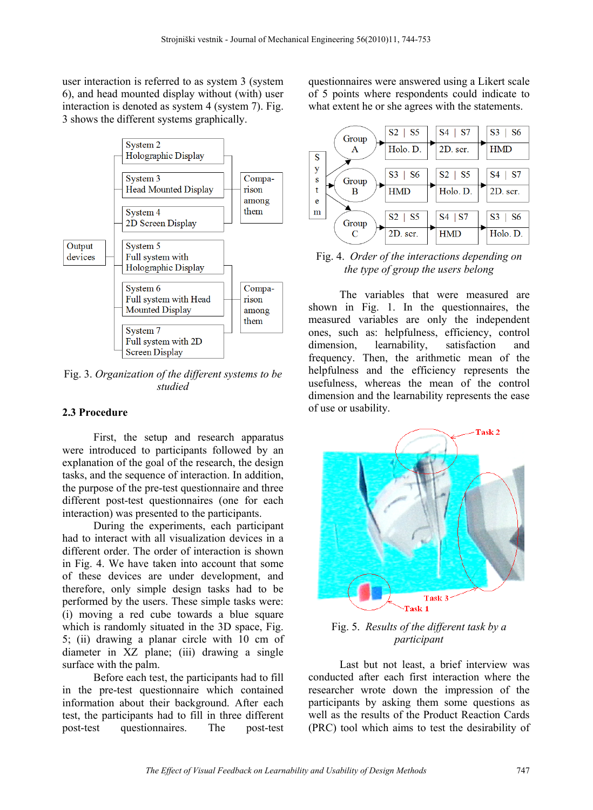user interaction is referred to as system 3 (system 6), and head mounted display without (with) user interaction is denoted as system 4 (system 7). Fig. 3 shows the different systems graphically.



Fig. 3. *Organization of the different systems to be studied*

## **2.3 Procedure**

First, the setup and research apparatus were introduced to participants followed by an explanation of the goal of the research, the design tasks, and the sequence of interaction. In addition, the purpose of the pre-test questionnaire and three different post-test questionnaires (one for each interaction) was presented to the participants.

During the experiments, each participant had to interact with all visualization devices in a different order. The order of interaction is shown in Fig. 4. We have taken into account that some of these devices are under development, and therefore, only simple design tasks had to be performed by the users. These simple tasks were: (i) moving a red cube towards a blue square which is randomly situated in the 3D space. Fig. 5; (ii) drawing a planar circle with 10 cm of diameter in XZ plane; (iii) drawing a single surface with the palm.

Before each test, the participants had to fill in the pre-test questionnaire which contained information about their background. After each test, the participants had to fill in three different post-test questionnaires. The post-test questionnaires were answered using a Likert scale of 5 points where respondents could indicate to what extent he or she agrees with the statements.



Fig. 4. *Order of the interactions depending on the type of group the users belong*

The variables that were measured are shown in Fig. 1. In the questionnaires, the measured variables are only the independent ones, such as: helpfulness, efficiency, control dimension, learnability, satisfaction and frequency. Then, the arithmetic mean of the helpfulness and the efficiency represents the usefulness, whereas the mean of the control dimension and the learnability represents the ease of use or usability.



Fig. 5. *Results of the different task by a participant*

Last but not least a brief interview was conducted after each first interaction where the researcher wrote down the impression of the participants by asking them some questions as well as the results of the Product Reaction Cards (PRC) tool which aims to test the desirability of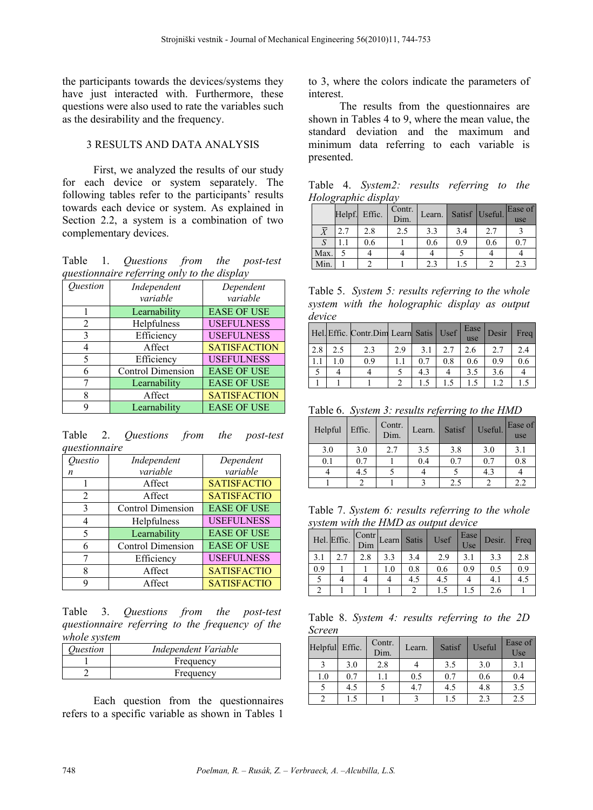the participants towards the devices/systems they have just interacted with. Furthermore, these questions were also used to rate the variables such as the desirability and the frequency.

## 3 RESULTS AND DATA ANALYSIS

First, we analyzed the results of our study for each device or system separately. The following tables refer to the participants' results towards each device or system. As explained in Section 2.2, a system is a combination of two complementary devices.

Table 1. *Questions from the post-test questionnaire referring only to the display* 

| <i><u><b>Ouestion</b></u></i> | Independent              | Dependent           |  |  |  |  |
|-------------------------------|--------------------------|---------------------|--|--|--|--|
|                               | variable                 | variable            |  |  |  |  |
|                               | Learnability             | <b>EASE OF USE</b>  |  |  |  |  |
| 2                             | Helpfulness              | <b>USEFULNESS</b>   |  |  |  |  |
| $\mathcal{E}$                 | Efficiency               | <b>USEFULNESS</b>   |  |  |  |  |
| 4                             | Affect                   | <b>SATISFACTION</b> |  |  |  |  |
| 5                             | Efficiency               | <b>USEFULNESS</b>   |  |  |  |  |
| 6                             | <b>Control Dimension</b> | <b>EASE OF USE</b>  |  |  |  |  |
| 7                             | Learnability             | <b>EASE OF USE</b>  |  |  |  |  |
| 8                             | Affect                   | <b>SATISFACTION</b> |  |  |  |  |
| Q                             | Learnability             | <b>EASE OF USE</b>  |  |  |  |  |

Table 2. *Questions from the post-test questionnaire* 

| Questio | Independent              | Dependent          |
|---------|--------------------------|--------------------|
| n       | variable                 | variable           |
|         | Affect                   | <b>SATISFACTIO</b> |
| 2       | Affect                   | <b>SATISFACTIO</b> |
| 3       | <b>Control Dimension</b> | <b>EASE OF USE</b> |
| 4       | Helpfulness              | <b>USEFULNESS</b>  |
| 5       | Learnability             | <b>EASE OF USE</b> |
| 6       | Control Dimension        | <b>EASE OF USE</b> |
|         | Efficiency               | <b>USEFULNESS</b>  |
| 8       | Affect                   | <b>SATISFACTIO</b> |
| q       | Affect                   | <b>SATISFACTIO</b> |

Table 3. *Questions from the post-test questionnaire referring to the frequency of the whole system* 

| Ouestion | Independent Variable |
|----------|----------------------|
|          | Frequency            |
|          | Frequency            |

Each question from the questionnaires refers to a specific variable as shown in Tables 1

to 3, where the colors indicate the parameters of interest.

The results from the questionnaires are shown in Tables 4 to 9, where the mean value, the standard deviation and the maximum and minimum data referring to each variable is presented.

Table 4. *System2: results referring to the Holographic display*

|                |     | Helpf. Effic. | Contr.<br>Dim. | Learn. |     | Satisf Useful. | Ease of<br>use |
|----------------|-----|---------------|----------------|--------|-----|----------------|----------------|
| $\overline{r}$ | 2.7 | 2.8           | 2.5            | 3.3    | 3.4 | 2.7            |                |
| S              |     | 0.6           |                | 0.6    | 0.9 | 0.6            | 0.7            |
| Max.           |     |               |                |        |     |                |                |
| Min.           |     |               |                | 2.3    |     |                |                |

Table 5. *System 5: results referring to the whole system with the holographic display as output device*

|     |     | Hel. Effic. Contr. Dim Learn Satis   Usef |     |     |     | Ease<br>use | Desir | Freq |
|-----|-----|-------------------------------------------|-----|-----|-----|-------------|-------|------|
| 2.8 | 2.5 | 2.3                                       | 2.9 | 3.1 | 2.7 | 2.6         | 2.7   | 2.4  |
|     | 0.1 | 0.9                                       |     |     | 0.8 | 0.6         | 0.9   | 0.6  |
|     |     |                                           |     | 4.3 |     | 3.5         | 3.6   |      |
|     |     |                                           |     |     |     | 1.5         |       |      |

Table 6. *System 3: results referring to the HMD* 

| Helpful | Effic. | Contr.<br>Dim. | Learn. | Satisf | Useful. | Ease of<br>use |
|---------|--------|----------------|--------|--------|---------|----------------|
| 3.0     | 3.0    | 2.7            | 3.5    | 3.8    | 3.0     | 3.1            |
| 0.1     | 0.7    |                | 0.4    | 0.7    | 0.7     | 0.8            |
|         | 4.5    |                |        |        | 4.3     |                |
|         |        |                |        | 2.5    |         | 2.2            |

Table 7. *System 6: results referring to the whole system with the HMD as output device*

|     | Hel. Effic. | Dim |     | Contr Learn Satis | <b>Usef</b> | Ease<br>Use | Desir. | Freq |
|-----|-------------|-----|-----|-------------------|-------------|-------------|--------|------|
| 3.1 |             | 2.8 | 3.3 | 3.4               | 2.9         | 3.1         | 3.3    | 2.8  |
| 0.9 |             |     | 1.0 | 0.8               | 0.6         | 0.9         | 0.5    | 0.9  |
|     |             |     |     | 4.5               | 4.5         |             |        | 4.5  |
|     |             |     |     |                   | 1.5         |             | 2.6    |      |

Table 8. *System 4: results referring to the 2D Screen*

| Helpful Effic. |     | Contr.<br>Dim. | Learn. | Satisf | Useful | Ease of<br>Use |
|----------------|-----|----------------|--------|--------|--------|----------------|
|                | 3.0 | 2.8            |        | 3.5    | 3.0    | 3.1            |
| 1.0            | 0.7 |                | 0.5    | 0.7    | 0.6    | 0.4            |
|                | 4.5 |                | 4.7    | 4.5    | 4.8    | 3.5            |
|                |     |                |        |        | 2.3    |                |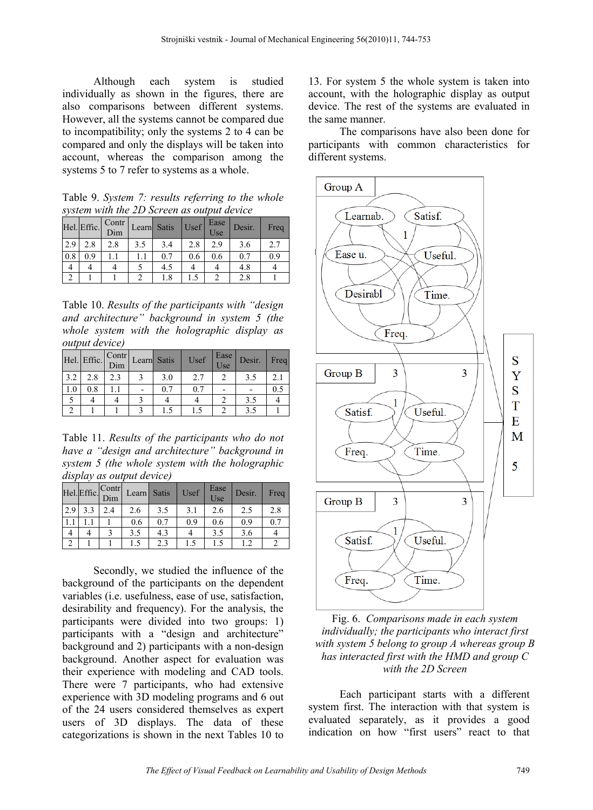Although each system is studied individually as shown in the figures, there are also comparisons between different systems. However, all the systems cannot be compared due to incompatibility; only the systems 2 to 4 can be compared and only the displays will be taken into account, whereas the comparison among the systems 5 to 7 refer to systems as a whole.

Table 9. *System 7: results referring to the whole system with the 2D Screen as output device*

|     | Hel. Effic. | Contr<br>Dim | Learn Satis |     | Usef | Ease<br>Use | Desir. | Freq |
|-----|-------------|--------------|-------------|-----|------|-------------|--------|------|
| 2.9 | 2.8         | 2.8          | 3.5         | 3.4 | 2.8  | 2.9         | 3.6    | 2.7  |
| 0.8 | 0.9         |              |             | 0.7 | 0.6  | 0.6         | 0.7    | 0.9  |
| 4   |             |              |             | 4.5 |      |             | 4.8    |      |
|     |             |              |             | 1.8 | .5   |             | 2.8    |      |

Table 10. *Results of the participants with "design and architecture" background in system 5 (the whole system with the holographic display as output device)*

|     |     |     | Hel. Effic. Contr Learn Satis | Usef | Ease<br>Use | Desir. | Freq |
|-----|-----|-----|-------------------------------|------|-------------|--------|------|
| 3.2 | 2.8 | 2.3 | 3.0                           | 2.7  |             | 3.5    | 2.1  |
| 1.0 | 0.8 |     | 0.7                           | 0.7  |             |        |      |
|     |     |     |                               |      |             | 3.5    |      |
|     |     |     |                               |      |             | 3.5    |      |

Table 11. *Results of the participants who do not have a "design and architecture" background in system 5 (the whole system with the holographic display as output device)* 

|     |     | Hel. Effic. Contr | Learn Satis |     | Usef | Ease<br>Use | Desir. | Freq |
|-----|-----|-------------------|-------------|-----|------|-------------|--------|------|
| 2.9 | 3.3 | 2.4               | 2.6         | 3.5 | 3.1  | 2.6         | 2.5    | 2.8  |
|     |     |                   | 0.6         | 0.7 | 0.9  | 0.6         | 0.9    | 0.7  |
|     |     |                   | 3.5         | 4.3 |      | 3.5         | 3.6    |      |
|     |     |                   |             | 2.3 |      | 1.5         |        |      |

Secondly, we studied the influence of the background of the participants on the dependent variables (i.e. usefulness, ease of use, satisfaction, desirability and frequency). For the analysis, the participants were divided into two groups: 1) participants with a "design and architecture" background and 2) participants with a non-design background. Another aspect for evaluation was their experience with modeling and CAD tools. There were 7 participants, who had extensive experience with 3D modeling programs and 6 out of the 24 users considered themselves as expert users of 3D displays. The data of these categorizations is shown in the next Tables 10 to 13. For system 5 the whole system is taken into account, with the holographic display as output device. The rest of the systems are evaluated in the same manner.

The comparisons have also been done for participants with common characteristics for different systems.



Fig. 6. *Comparisons made in each system individually; the participants who interact first with system 5 belong to group A whereas group B has interacted first with the HMD and group C with the 2D Screen* 

Each participant starts with a different system first. The interaction with that system is evaluated separately, as it provides a good indication on how "first users" react to that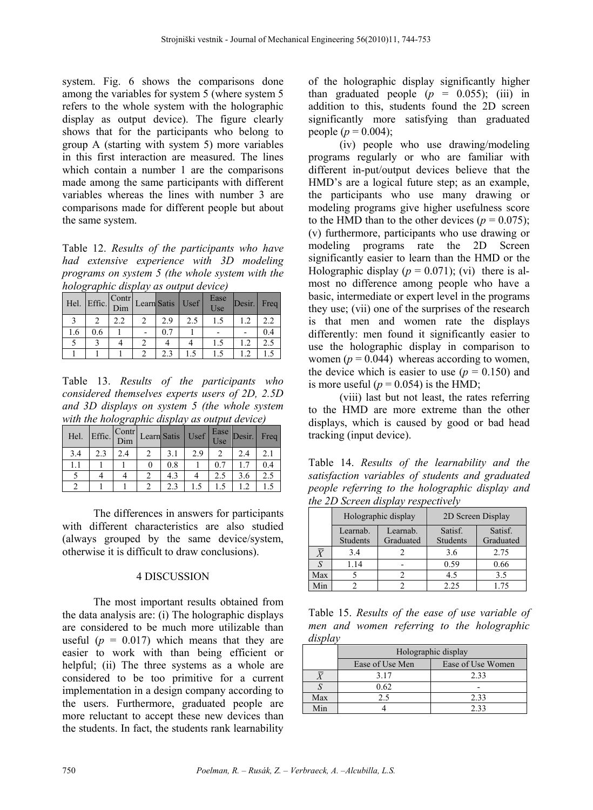system. Fig. 6 shows the comparisons done among the variables for system 5 (where system 5 refers to the whole system with the holographic display as output device). The figure clearly shows that for the participants who belong to group A (starting with system 5) more variables in this first interaction are measured. The lines which contain a number 1 are the comparisons made among the same participants with different variables whereas the lines with number 3 are comparisons made for different people but about the same system.

Table 12. *Results of the participants who have had extensive experience with 3D modeling programs on system 5 (the whole system with the holographic display as output device)*

| Hel. | $\left  \text{Effic.} \right $ Dim |     |     | Contr Learn Satis Usef | Ease<br>Use | Desir. Freq |     |
|------|------------------------------------|-----|-----|------------------------|-------------|-------------|-----|
|      |                                    | 2.2 | 2.9 | 2.5                    | 1.5         | 1.2         | 2.2 |
| 1.6  | 0.6                                |     | 0.7 |                        |             |             | 0.4 |
|      |                                    |     |     |                        | 1.5         |             | 2.5 |
|      |                                    |     | 23  |                        |             |             |     |

Table 13. *Results of the participants who considered themselves experts users of 2D, 2.5D and 3D displays on system 5 (the whole system with the holographic display as output device)*

| Hel. | Effic. Dim |     | Contr Learn Satis Usef Lase |     |     |     | Ease Desir. Freq |     |
|------|------------|-----|-----------------------------|-----|-----|-----|------------------|-----|
| 3.4  | 2.3        | 2.4 |                             |     | 2.9 |     | 2.4              | 2.1 |
|      |            |     |                             | 0.8 |     | 0.7 |                  | 0.4 |
|      |            |     |                             | 4.3 |     |     | 3.6              |     |
|      |            |     |                             | 2.3 |     |     |                  |     |

The differences in answers for participants with different characteristics are also studied (always grouped by the same device/system, otherwise it is difficult to draw conclusions).

#### 4 DISCUSSION

The most important results obtained from the data analysis are: (i) The holographic displays are considered to be much more utilizable than useful ( $p = 0.017$ ) which means that they are easier to work with than being efficient or helpful; (ii) The three systems as a whole are considered to be too primitive for a current implementation in a design company according to the users. Furthermore, graduated people are more reluctant to accept these new devices than the students. In fact, the students rank learnability

of the holographic display significantly higher than graduated people  $(p = 0.055)$ ; (iii) in addition to this, students found the 2D screen significantly more satisfying than graduated people  $(p = 0.004)$ ;

(iv) people who use drawing/modeling programs regularly or who are familiar with different in-put/output devices believe that the HMD's are a logical future step; as an example, the participants who use many drawing or modeling programs give higher usefulness score to the HMD than to the other devices ( $p = 0.075$ ); (v) furthermore, participants who use drawing or modeling programs rate the 2D Screen significantly easier to learn than the HMD or the Holographic display  $(p = 0.071)$ ; (vi) there is almost no difference among people who have a basic, intermediate or expert level in the programs they use; (vii) one of the surprises of the research is that men and women rate the displays differently: men found it significantly easier to use the holographic display in comparison to women  $(p = 0.044)$  whereas according to women, the device which is easier to use  $(p = 0.150)$  and is more useful ( $p = 0.054$ ) is the HMD;

(viii) last but not least, the rates referring to the HMD are more extreme than the other displays, which is caused by good or bad head tracking (input device).

Table 14. *Results of the learnability and the satisfaction variables of students and graduated people referring to the holographic display and the 2D Screen display respectively*

|     |                              | Holographic display | 2D Screen Display |           |  |
|-----|------------------------------|---------------------|-------------------|-----------|--|
|     | Learnab.                     | Learnab.            | Satisf.           | Satisf.   |  |
|     | Graduated<br><b>Students</b> |                     | <b>Students</b>   | Graduated |  |
|     | 3.4                          |                     | 3.6               | 2.75      |  |
|     | 1.14                         |                     | 0.59              | 0.66      |  |
| Max |                              |                     | 4.5               | 3.5       |  |
|     |                              |                     | 2.25              | 175       |  |

|         |  |  | Table 15. Results of the ease of use variable of |  |
|---------|--|--|--------------------------------------------------|--|
|         |  |  | men and women referring to the holographic       |  |
| display |  |  |                                                  |  |

|     | Holographic display |                   |  |  |  |
|-----|---------------------|-------------------|--|--|--|
|     | Ease of Use Men     | Ease of Use Women |  |  |  |
|     | 3.17                | 2.33              |  |  |  |
|     | 0.62                |                   |  |  |  |
| Max | 25                  | 2.33              |  |  |  |
| Min |                     | า วว              |  |  |  |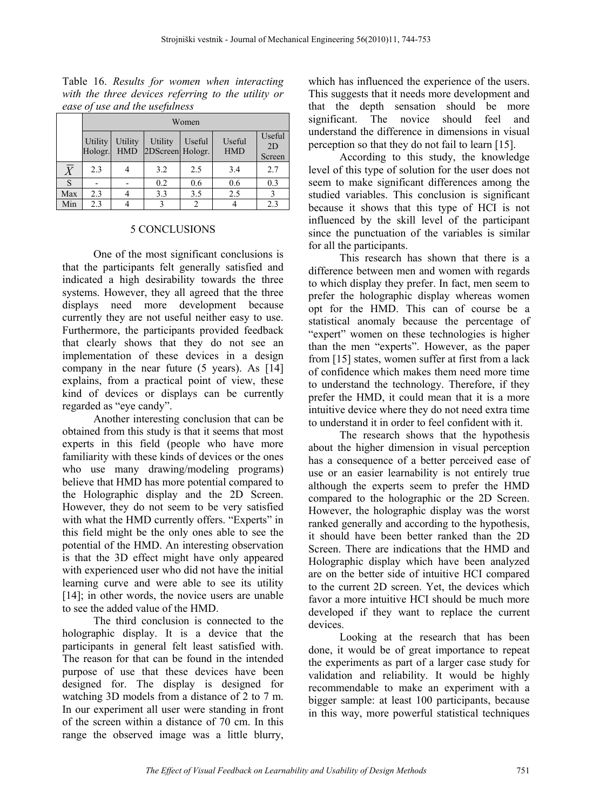Table 16. *Results for women when interacting with the three devices referring to the utility or ease of use and the usefulness* 

|           | Women              |                       |                             |        |                      |                        |  |
|-----------|--------------------|-----------------------|-----------------------------|--------|----------------------|------------------------|--|
|           | Utility<br>Hologr. | Utility<br><b>HMD</b> | Utility<br>2DScreen Hologr. | Useful | Useful<br><b>HMD</b> | Useful<br>2D<br>Screen |  |
| $\bar{X}$ | 2.3                |                       | 3.2                         | 2.5    | 3.4                  | 2.7                    |  |
| S         |                    |                       | 0.2                         | 0.6    | 0.6                  | 0.3                    |  |
| Max       | 2.3                |                       | 3.3                         | 3.5    | 2.5                  |                        |  |
| Min       | 2.3                |                       | ι                           |        |                      | 2.3                    |  |

#### 5 CONCLUSIONS

One of the most significant conclusions is that the participants felt generally satisfied and indicated a high desirability towards the three systems. However, they all agreed that the three displays need more development because currently they are not useful neither easy to use. Furthermore, the participants provided feedback that clearly shows that they do not see an implementation of these devices in a design company in the near future  $(5 \text{ years})$ . As  $[14]$ explains, from a practical point of view, these kind of devices or displays can be currently regarded as "eye candy".

Another interesting conclusion that can be obtained from this study is that it seems that most experts in this field (people who have more familiarity with these kinds of devices or the ones who use many drawing/modeling programs) believe that HMD has more potential compared to the Holographic display and the 2D Screen. However, they do not seem to be very satisfied with what the HMD currently offers. "Experts" in this field might be the only ones able to see the potential of the HMD. An interesting observation is that the 3D effect might have only appeared with experienced user who did not have the initial learning curve and were able to see its utility [14]; in other words, the novice users are unable to see the added value of the HMD.

The third conclusion is connected to the holographic display. It is a device that the participants in general felt least satisfied with. The reason for that can be found in the intended purpose of use that these devices have been designed for. The display is designed for watching 3D models from a distance of 2 to 7 m. In our experiment all user were standing in front of the screen within a distance of 70 cm. In this range the observed image was a little blurry,

which has influenced the experience of the users. This suggests that it needs more development and that the depth sensation should be more significant. The novice should feel and understand the difference in dimensions in visual perception so that they do not fail to learn [15].

According to this study, the knowledge level of this type of solution for the user does not seem to make significant differences among the studied variables. This conclusion is significant because it shows that this type of HCI is not influenced by the skill level of the participant since the punctuation of the variables is similar for all the participants.

This research has shown that there is a difference between men and women with regards to which display they prefer. In fact, men seem to prefer the holographic display whereas women opt for the HMD. This can of course be a statistical anomaly because the percentage of "expert" women on these technologies is higher than the men "experts". However, as the paper from [15] states, women suffer at first from a lack of confidence which makes them need more time to understand the technology. Therefore, if they prefer the HMD, it could mean that it is a more intuitive device where they do not need extra time to understand it in order to feel confident with it.

The research shows that the hypothesis about the higher dimension in visual perception has a consequence of a better perceived ease of use or an easier learnability is not entirely true although the experts seem to prefer the HMD compared to the holographic or the 2D Screen. However, the holographic display was the worst ranked generally and according to the hypothesis, it should have been better ranked than the 2D Screen. There are indications that the HMD and Holographic display which have been analyzed are on the better side of intuitive HCI compared to the current 2D screen. Yet, the devices which favor a more intuitive HCI should be much more developed if they want to replace the current devices.

Looking at the research that has been done, it would be of great importance to repeat the experiments as part of a larger case study for validation and reliability. It would be highly recommendable to make an experiment with a bigger sample: at least 100 participants, because in this way, more powerful statistical techniques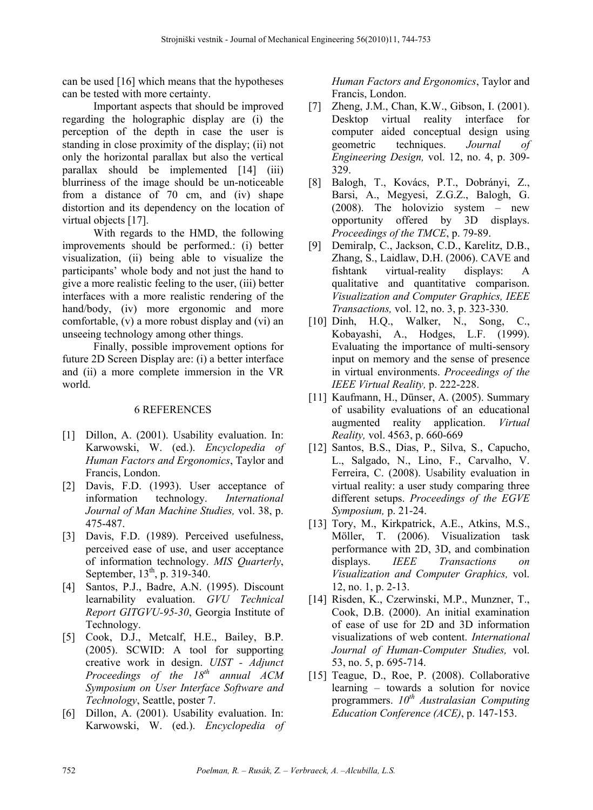can be used [16] which means that the hypotheses can be tested with more certainty.

Important aspects that should be improved regarding the holographic display are (i) the perception of the depth in case the user is standing in close proximity of the display; (ii) not only the horizontal parallax but also the vertical parallax should be implemented [14] (iii) blurriness of the image should be un-noticeable from a distance of 70 cm, and (iv) shape distortion and its dependency on the location of virtual objects [17].

With regards to the HMD, the following improvements should be performed.: (i) better visualization, (ii) being able to visualize the participants' whole body and not just the hand to give a more realistic feeling to the user, (iii) better interfaces with a more realistic rendering of the hand/body, (iv) more ergonomic and more comfortable, (v) a more robust display and (vi) an unseeing technology among other things.

Finally, possible improvement options for future 2D Screen Display are: (i) a better interface and (ii) a more complete immersion in the VR world.

## 6 REFERENCES

- [1] Dillon, A. (2001). Usability evaluation. In: Karwowski, W. (ed.). *Encyclopedia of Human Factors and Ergonomics*, Taylor and Francis, London.
- [2] Davis, F.D. (1993). User acceptance of information technology. *International Journal of Man Machine Studies,* vol. 38, p. 475-487.
- [3] Davis, F.D. (1989). Perceived usefulness, perceived ease of use, and user acceptance of information technology. *MIS Quarterly*, September,  $13^{th}$ , p. 319-340.
- [4] Santos, P.J., Badre, A.N. (1995). Discount learnability evaluation. *GVU Technical Report GITGVU-95-30*, Georgia Institute of Technology.
- [5] Cook, D.J., Metcalf, H.E., Bailey, B.P. (2005). SCWID: A tool for supporting creative work in design. *UIST - Adjunct Proceedings of the 18th annual ACM Symposium on User Interface Software and Technology*, Seattle, poster 7.
- [6] Dillon, A. (2001). Usability evaluation. In: Karwowski, W. (ed.). *Encyclopedia of*

*Human Factors and Ergonomics*, Taylor and Francis, London.

- [7] Zheng, J.M., Chan, K.W., Gibson, I. (2001). Desktop virtual reality interface for computer aided conceptual design using geometric techniques. *Journal of Engineering Design,* vol. 12, no. 4, p. 309- 329.
- [8] Balogh, T., Kovács, P.T., Dobrányi, Z., Barsi, A., Megyesi, Z.G.Z., Balogh, G. (2008). The holovizio system – new opportunity offered by 3D displays. *Proceedings of the TMCE*, p. 79-89.
- [9] Demiralp, C., Jackson, C.D., Karelitz, D.B., Zhang, S., Laidlaw, D.H. (2006). CAVE and fishtank virtual-reality displays: A qualitative and quantitative comparison. *Visualization and Computer Graphics, IEEE Transactions,* vol. 12, no. 3, p. 323-330.
- [10] Dinh, H.Q., Walker, N., Song, C., Kobayashi, A., Hodges, L.F. (1999). Evaluating the importance of multi-sensory input on memory and the sense of presence in virtual environments. *Proceedings of the IEEE Virtual Reality,* p. 222-228.
- [11] Kaufmann, H., Dünser, A. (2005). Summary of usability evaluations of an educational augmented reality application. *Virtual Reality,* vol. 4563, p. 660-669
- [12] Santos, B.S., Dias, P., Silva, S., Capucho, L., Salgado, N., Lino, F., Carvalho, V. Ferreira, C. (2008). Usability evaluation in virtual reality: a user study comparing three different setups. *Proceedings of the EGVE Symposium,* p. 21-24.
- [13] Tory, M., Kirkpatrick, A.E., Atkins, M.S., Möller, T. (2006). Visualization task performance with 2D, 3D, and combination displays. *IEEE Transactions on Visualization and Computer Graphics,* vol. 12, no. 1, p. 2-13.
- [14] Risden, K., Czerwinski, M.P., Munzner, T., Cook, D.B. (2000). An initial examination of ease of use for 2D and 3D information visualizations of web content. *International Journal of Human-Computer Studies,* vol. 53, no. 5, p. 695-714.
- [15] Teague, D., Roe, P. (2008). Collaborative learning – towards a solution for novice programmers. *10th Australasian Computing Education Conference (ACE)*, p. 147-153.